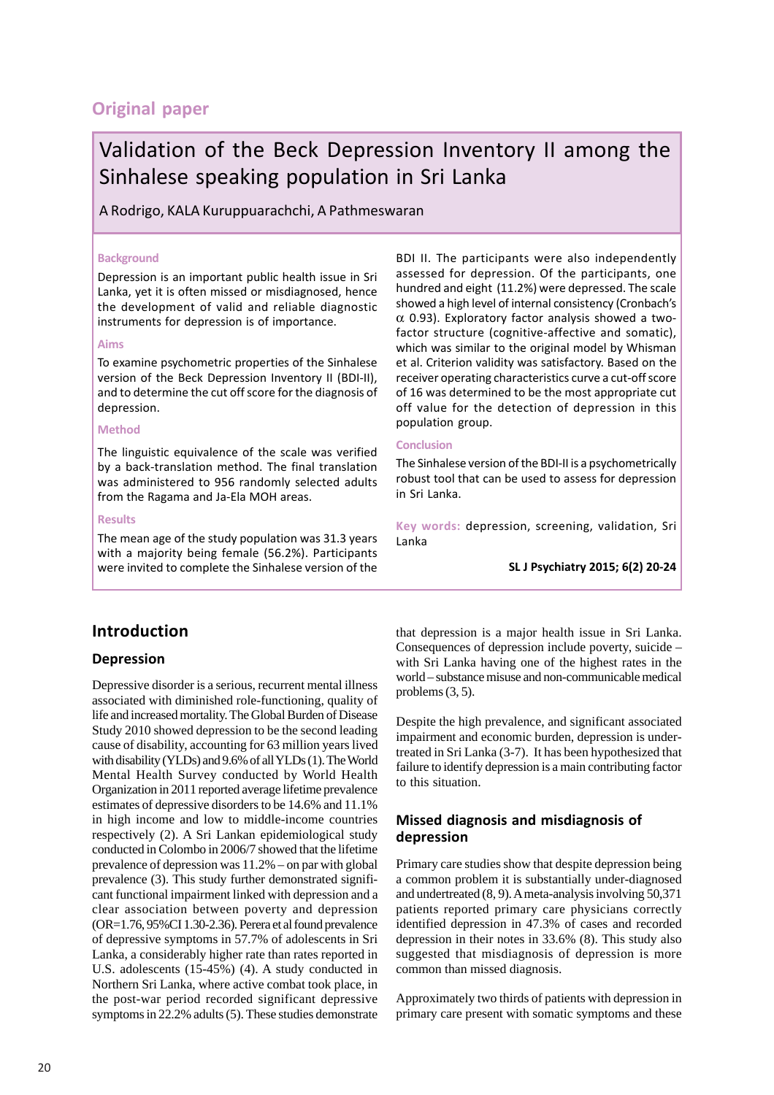# **Original paper**

# Validation of the Beck Depression Inventory II among the Sinhalese speaking population in Sri Lanka

A Rodrigo, KALA Kuruppuarachchi, A Pathmeswaran

#### **Background**

Depression is an important public health issue in Sri Lanka, yet it is often missed or misdiagnosed, hence the development of valid and reliable diagnostic instruments for depression is of importance.

#### **Aims**

To examine psychometric properties of the Sinhalese version of the Beck Depression Inventory II (BDI-II), and to determine the cut off score for the diagnosis of depression.

#### **Method**

The linguistic equivalence of the scale was verified by a back-translation method. The final translation was administered to 956 randomly selected adults from the Ragama and Ja-Ela MOH areas.

#### **Results**

The mean age of the study population was 31.3 years with a majority being female (56.2%). Participants were invited to complete the Sinhalese version of the BDI II. The participants were also independently assessed for depression. Of the participants, one hundred and eight (11.2%) were depressed. The scale showed a high level of internal consistency (Cronbach's  $\alpha$  0.93). Exploratory factor analysis showed a twofactor structure (cognitive-affective and somatic), which was similar to the original model by Whisman et al. Criterion validity was satisfactory. Based on the receiver operating characteristics curve a cut-off score of 16 was determined to be the most appropriate cut off value for the detection of depression in this population group.

#### **Conclusion**

The Sinhalese version of the BDI-II is a psychometrically robust tool that can be used to assess for depression in Sri Lanka.

**Key words:** depression, screening, validation, Sri Lanka

**SL J Psychiatry 2015; 6(2) 20-24**

## **Introduction**

## **Depression**

Depressive disorder is a serious, recurrent mental illness associated with diminished role-functioning, quality of life and increased mortality. The Global Burden of Disease Study 2010 showed depression to be the second leading cause of disability, accounting for 63 million years lived with disability (YLDs) and 9.6% of all YLDs (1). The World Mental Health Survey conducted by World Health Organization in 2011 reported average lifetime prevalence estimates of depressive disorders to be 14.6% and 11.1% in high income and low to middle-income countries respectively (2). A Sri Lankan epidemiological study conducted in Colombo in 2006/7 showed that the lifetime prevalence of depression was 11.2% – on par with global prevalence (3). This study further demonstrated significant functional impairment linked with depression and a clear association between poverty and depression (OR=1.76, 95%CI 1.30-2.36). Perera et al found prevalence of depressive symptoms in 57.7% of adolescents in Sri Lanka, a considerably higher rate than rates reported in U.S. adolescents (15-45%) (4). A study conducted in Northern Sri Lanka, where active combat took place, in the post-war period recorded significant depressive symptoms in 22.2% adults (5). These studies demonstrate

that depression is a major health issue in Sri Lanka. Consequences of depression include poverty, suicide – with Sri Lanka having one of the highest rates in the world – substance misuse and non-communicable medical problems (3, 5).

Despite the high prevalence, and significant associated impairment and economic burden, depression is undertreated in Sri Lanka (3-7). It has been hypothesized that failure to identify depression is a main contributing factor to this situation.

## **Missed diagnosis and misdiagnosis of depression**

Primary care studies show that despite depression being a common problem it is substantially under-diagnosed and undertreated (8, 9). A meta-analysis involving 50,371 patients reported primary care physicians correctly identified depression in 47.3% of cases and recorded depression in their notes in 33.6% (8). This study also suggested that misdiagnosis of depression is more common than missed diagnosis.

Approximately two thirds of patients with depression in primary care present with somatic symptoms and these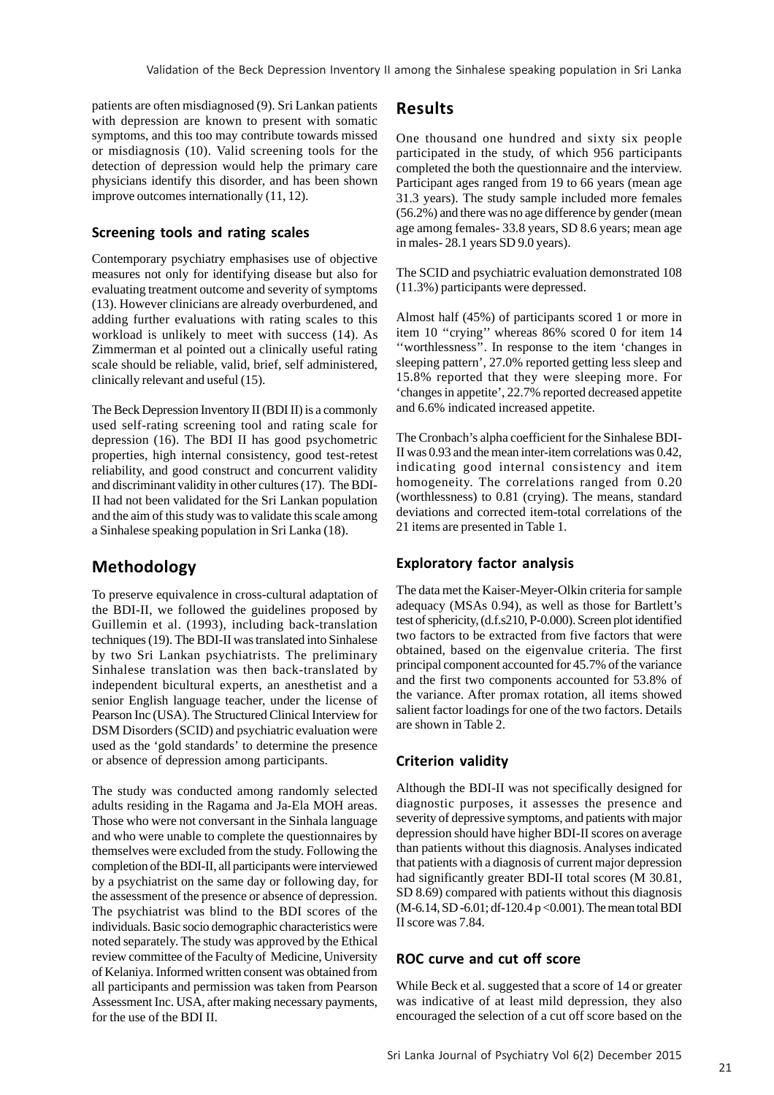patients are often misdiagnosed (9). Sri Lankan patients with depression are known to present with somatic symptoms, and this too may contribute towards missed or misdiagnosis (10). Valid screening tools for the detection of depression would help the primary care physicians identify this disorder, and has been shown improve outcomes internationally (11, 12).

## **Screening tools and rating scales**

Contemporary psychiatry emphasises use of objective measures not only for identifying disease but also for evaluating treatment outcome and severity of symptoms (13). However clinicians are already overburdened, and adding further evaluations with rating scales to this workload is unlikely to meet with success (14). As Zimmerman et al pointed out a clinically useful rating scale should be reliable, valid, brief, self administered, clinically relevant and useful (15).

The Beck Depression Inventory II (BDI II) is a commonly used self-rating screening tool and rating scale for depression (16). The BDI II has good psychometric properties, high internal consistency, good test-retest reliability, and good construct and concurrent validity and discriminant validity in other cultures (17). The BDI-II had not been validated for the Sri Lankan population and the aim of this study was to validate this scale among a Sinhalese speaking population in Sri Lanka (18).

## **Methodology**

To preserve equivalence in cross-cultural adaptation of the BDI-II, we followed the guidelines proposed by Guillemin et al. (1993), including back-translation techniques (19). The BDI-II was translated into Sinhalese by two Sri Lankan psychiatrists. The preliminary Sinhalese translation was then back-translated by independent bicultural experts, an anesthetist and a senior English language teacher, under the license of Pearson Inc (USA). The Structured Clinical Interview for DSM Disorders (SCID) and psychiatric evaluation were used as the 'gold standards' to determine the presence or absence of depression among participants.

The study was conducted among randomly selected adults residing in the Ragama and Ja-Ela MOH areas. Those who were not conversant in the Sinhala language and who were unable to complete the questionnaires by themselves were excluded from the study. Following the completion of the BDI-II, all participants were interviewed by a psychiatrist on the same day or following day, for the assessment of the presence or absence of depression. The psychiatrist was blind to the BDI scores of the individuals. Basic socio demographic characteristics were noted separately. The study was approved by the Ethical review committee of the Faculty of Medicine, University of Kelaniya. Informed written consent was obtained from all participants and permission was taken from Pearson Assessment Inc. USA, after making necessary payments, for the use of the BDI II.

## **Results**

One thousand one hundred and sixty six people participated in the study, of which 956 participants completed the both the questionnaire and the interview. Participant ages ranged from 19 to 66 years (mean age 31.3 years). The study sample included more females (56.2%) and there was no age difference by gender (mean age among females- 33.8 years, SD 8.6 years; mean age in males- 28.1 years SD 9.0 years).

The SCID and psychiatric evaluation demonstrated 108 (11.3%) participants were depressed.

Almost half (45%) of participants scored 1 or more in item 10 "crying" whereas 86% scored 0 for item 14 ''worthlessness''. In response to the item 'changes in sleeping pattern', 27.0% reported getting less sleep and 15.8% reported that they were sleeping more. For 'changes in appetite', 22.7% reported decreased appetite and 6.6% indicated increased appetite.

The Cronbach's alpha coefficient for the Sinhalese BDI-II was 0.93 and the mean inter-item correlations was 0.42, indicating good internal consistency and item homogeneity. The correlations ranged from 0.20 (worthlessness) to 0.81 (crying). The means, standard deviations and corrected item-total correlations of the 21 items are presented in Table 1.

## **Exploratory factor analysis**

The data met the Kaiser-Meyer-Olkin criteria for sample adequacy (MSAs 0.94), as well as those for Bartlett's test of sphericity, (d.f.s210, P-0.000). Screen plot identified two factors to be extracted from five factors that were obtained, based on the eigenvalue criteria. The first principal component accounted for 45.7% of the variance and the first two components accounted for 53.8% of the variance. After promax rotation, all items showed salient factor loadings for one of the two factors. Details are shown in Table 2.

## **Criterion validity**

Although the BDI-II was not specifically designed for diagnostic purposes, it assesses the presence and severity of depressive symptoms, and patients with major depression should have higher BDI-II scores on average than patients without this diagnosis. Analyses indicated that patients with a diagnosis of current major depression had significantly greater BDI-II total scores (M 30.81, SD 8.69) compared with patients without this diagnosis (M-6.14, SD -6.01; df-120.4 p <0.001). The mean total BDI II score was 7.84.

#### **ROC curve and cut off score**

While Beck et al. suggested that a score of 14 or greater was indicative of at least mild depression, they also encouraged the selection of a cut off score based on the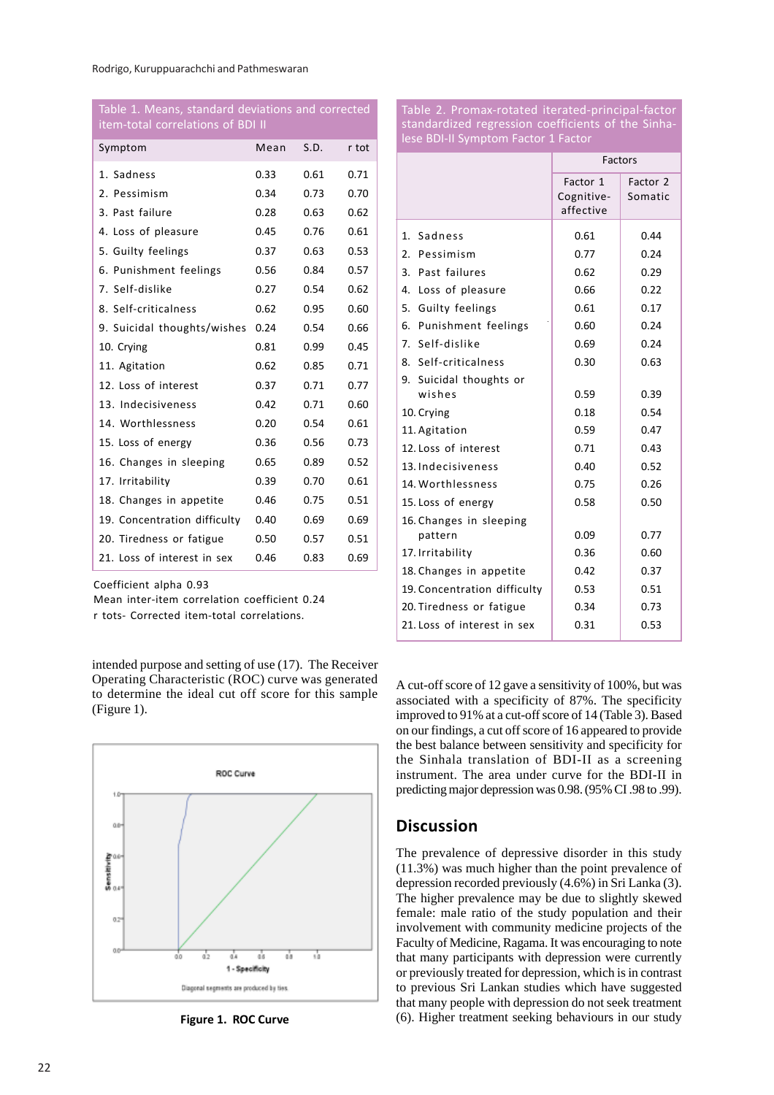| item-total correlations of BDI II |      |      |       |  |  |  |
|-----------------------------------|------|------|-------|--|--|--|
| Symptom                           | Mean | S.D. | r tot |  |  |  |
| 1. Sadness                        | 0.33 | 0.61 | 0.71  |  |  |  |
| 2. Pessimism                      | 0.34 | 0.73 | 0.70  |  |  |  |
| 3. Past failure                   | 0.28 | 0.63 | 0.62  |  |  |  |
| 4. Loss of pleasure               | 0.45 | 0.76 | 0.61  |  |  |  |
| 5. Guilty feelings                | 0.37 | 0.63 | 0.53  |  |  |  |
| 6. Punishment feelings            | 0.56 | 0.84 | 0.57  |  |  |  |
| 7. Self-dislike                   | 0.27 | 0.54 | 0.62  |  |  |  |
| 8. Self-criticalness              | 0.62 | 0.95 | 0.60  |  |  |  |
| 9. Suicidal thoughts/wishes       | 0.24 | 0.54 | 0.66  |  |  |  |
| 10. Crying                        | 0.81 | 0.99 | 0.45  |  |  |  |
| 11. Agitation                     | 0.62 | 0.85 | 0.71  |  |  |  |
| 12. Loss of interest              | 0.37 | 0.71 | 0.77  |  |  |  |
| 13. Indecisiveness                | 0.42 | 0.71 | 0.60  |  |  |  |
| 14. Worthlessness                 | 0.20 | 0.54 | 0.61  |  |  |  |
| 15. Loss of energy                | 0.36 | 0.56 | 0.73  |  |  |  |
| 16. Changes in sleeping           | 0.65 | 0.89 | 0.52  |  |  |  |
| 17. Irritability                  | 0.39 | 0.70 | 0.61  |  |  |  |
| 18. Changes in appetite           | 0.46 | 0.75 | 0.51  |  |  |  |
| 19. Concentration difficulty      | 0.40 | 0.69 | 0.69  |  |  |  |
| 20. Tiredness or fatigue          | 0.50 | 0.57 | 0.51  |  |  |  |
| 21. Loss of interest in sex       | 0.46 | 0.83 | 0.69  |  |  |  |

Table 1. Means, standard deviations and corrected

Coefficient alpha 0.93

Mean inter-item correlation coefficient 0.24

r tots- Corrected item-total correlations.

intended purpose and setting of use (17). The Receiver Operating Characteristic (ROC) curve was generated to determine the ideal cut off score for this sample (Figure 1).



Table 2. Promax-rotated iterated-principal-factor standardized regression coefficients of the Sinhalese BDI-II Symptom Factor 1 Factor

|                              | Factors                             |                     |  |
|------------------------------|-------------------------------------|---------------------|--|
|                              | Factor 1<br>Cognitive-<br>affective | Factor 2<br>Somatic |  |
| 1. Sadness                   | 0.61                                | 0.44                |  |
| 2. Pessimism                 | 0.77                                | 0.24                |  |
| 3. Past failures             | 0.62                                | 0.29                |  |
| 4. Loss of pleasure          | 0.66                                | 0.22                |  |
| 5. Guilty feelings           | 0.61                                | 0.17                |  |
| 6. Punishment feelings       | 0.60                                | 0.24                |  |
| 7. Self-dislike              | 0.69                                | 0.24                |  |
| 8. Self-criticalness         | 0.30                                | 0.63                |  |
| 9. Suicidal thoughts or      |                                     |                     |  |
| wishes                       | 0.59                                | 0.39                |  |
| 10. Crying                   | 0.18                                | 0.54                |  |
| 11. Agitation                | 0.59                                | 0.47                |  |
| 12. Loss of interest         | 0.71                                | 0.43                |  |
| 13. Indecisiveness           | 0.40                                | 0.52                |  |
| 14. Worthlessness            | 0.75                                | 0.26                |  |
| 15. Loss of energy           | 0.58                                | 0.50                |  |
| 16. Changes in sleeping      |                                     |                     |  |
| pattern                      | 0.09                                | 0.77                |  |
| 17. Irritability             | 0.36                                | 0.60                |  |
| 18. Changes in appetite      | 0.42                                | 0.37                |  |
| 19. Concentration difficulty | 0.53                                | 0.51                |  |
| 20. Tiredness or fatigue     | 0.34                                | 0.73                |  |
| 21. Loss of interest in sex  | 0.31                                | 0.53                |  |

A cut-off score of 12 gave a sensitivity of 100%, but was associated with a specificity of 87%. The specificity improved to 91% at a cut-off score of 14 (Table 3). Based on our findings, a cut off score of 16 appeared to provide the best balance between sensitivity and specificity for the Sinhala translation of BDI-II as a screening instrument. The area under curve for the BDI-II in predicting major depression was 0.98. (95% CI .98 to .99).

## **Discussion**

The prevalence of depressive disorder in this study (11.3%) was much higher than the point prevalence of depression recorded previously (4.6%) in Sri Lanka (3). The higher prevalence may be due to slightly skewed female: male ratio of the study population and their involvement with community medicine projects of the Faculty of Medicine, Ragama. It was encouraging to note that many participants with depression were currently or previously treated for depression, which is in contrast to previous Sri Lankan studies which have suggested that many people with depression do not seek treatment **Figure 1. ROC Curve** (6). Higher treatment seeking behaviours in our study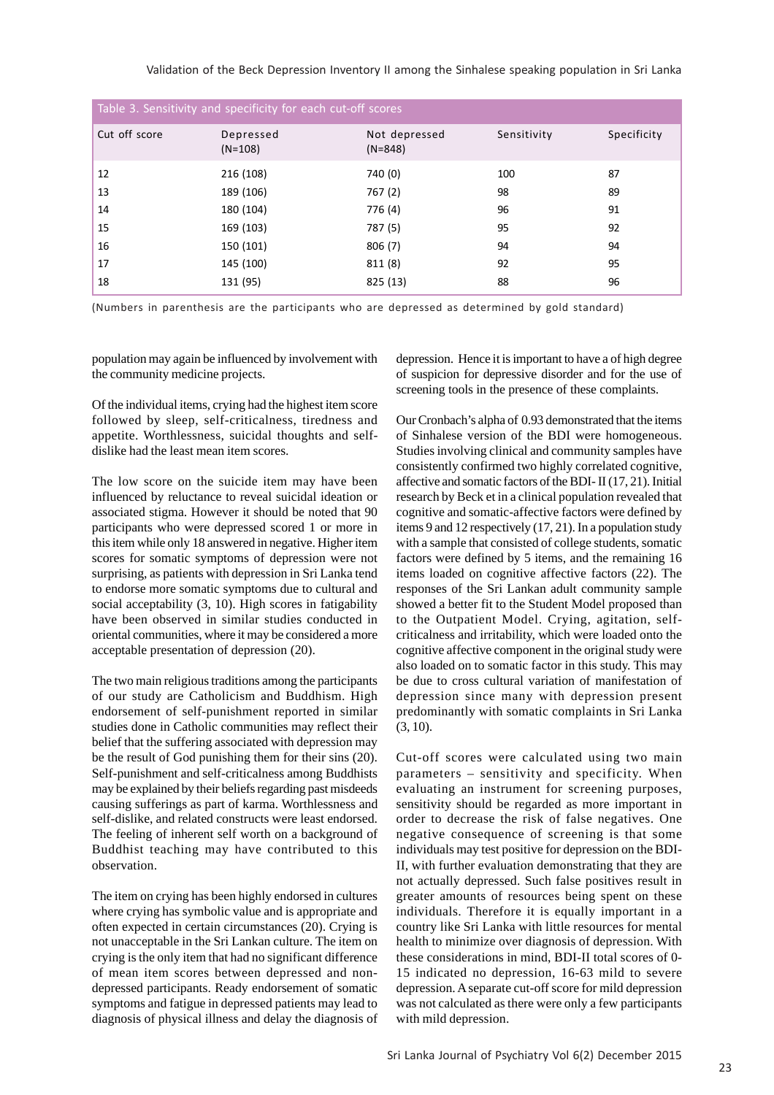Validation of the Beck Depression Inventory II among the Sinhalese speaking population in Sri Lanka

| Table 3. Sensitivity and specificity for each cut-off scores |                        |                            |             |             |  |  |  |
|--------------------------------------------------------------|------------------------|----------------------------|-------------|-------------|--|--|--|
| Cut off score                                                | Depressed<br>$(N=108)$ | Not depressed<br>$(N=848)$ | Sensitivity | Specificity |  |  |  |
| 12                                                           | 216 (108)              | 740 (0)                    | 100         | 87          |  |  |  |
| 13                                                           | 189 (106)              | 767 (2)                    | 98          | 89          |  |  |  |
| 14                                                           | 180 (104)              | 776 (4)                    | 96          | 91          |  |  |  |
| 15                                                           | 169 (103)              | 787 (5)                    | 95          | 92          |  |  |  |
| 16                                                           | 150 (101)              | 806(7)                     | 94          | 94          |  |  |  |
| 17                                                           | 145 (100)              | 811 (8)                    | 92          | 95          |  |  |  |
| 18                                                           | 131 (95)               | 825 (13)                   | 88          | 96          |  |  |  |

(Numbers in parenthesis are the participants who are depressed as determined by gold standard)

population may again be influenced by involvement with the community medicine projects.

Of the individual items, crying had the highest item score followed by sleep, self-criticalness, tiredness and appetite. Worthlessness, suicidal thoughts and selfdislike had the least mean item scores.

The low score on the suicide item may have been influenced by reluctance to reveal suicidal ideation or associated stigma. However it should be noted that 90 participants who were depressed scored 1 or more in this item while only 18 answered in negative. Higher item scores for somatic symptoms of depression were not surprising, as patients with depression in Sri Lanka tend to endorse more somatic symptoms due to cultural and social acceptability (3, 10). High scores in fatigability have been observed in similar studies conducted in oriental communities, where it may be considered a more acceptable presentation of depression (20).

The two main religious traditions among the participants of our study are Catholicism and Buddhism. High endorsement of self-punishment reported in similar studies done in Catholic communities may reflect their belief that the suffering associated with depression may be the result of God punishing them for their sins (20). Self-punishment and self-criticalness among Buddhists may be explained by their beliefs regarding past misdeeds causing sufferings as part of karma. Worthlessness and self-dislike, and related constructs were least endorsed. The feeling of inherent self worth on a background of Buddhist teaching may have contributed to this observation.

The item on crying has been highly endorsed in cultures where crying has symbolic value and is appropriate and often expected in certain circumstances (20). Crying is not unacceptable in the Sri Lankan culture. The item on crying is the only item that had no significant difference of mean item scores between depressed and nondepressed participants. Ready endorsement of somatic symptoms and fatigue in depressed patients may lead to diagnosis of physical illness and delay the diagnosis of depression. Hence it is important to have a of high degree of suspicion for depressive disorder and for the use of screening tools in the presence of these complaints.

Our Cronbach's alpha of 0.93 demonstrated that the items of Sinhalese version of the BDI were homogeneous. Studies involving clinical and community samples have consistently confirmed two highly correlated cognitive, affective and somatic factors of the BDI- II (17, 21). Initial research by Beck et in a clinical population revealed that cognitive and somatic-affective factors were defined by items 9 and 12 respectively (17, 21). In a population study with a sample that consisted of college students, somatic factors were defined by 5 items, and the remaining 16 items loaded on cognitive affective factors (22). The responses of the Sri Lankan adult community sample showed a better fit to the Student Model proposed than to the Outpatient Model. Crying, agitation, selfcriticalness and irritability, which were loaded onto the cognitive affective component in the original study were also loaded on to somatic factor in this study. This may be due to cross cultural variation of manifestation of depression since many with depression present predominantly with somatic complaints in Sri Lanka (3, 10).

Cut-off scores were calculated using two main parameters – sensitivity and specificity. When evaluating an instrument for screening purposes, sensitivity should be regarded as more important in order to decrease the risk of false negatives. One negative consequence of screening is that some individuals may test positive for depression on the BDI-II, with further evaluation demonstrating that they are not actually depressed. Such false positives result in greater amounts of resources being spent on these individuals. Therefore it is equally important in a country like Sri Lanka with little resources for mental health to minimize over diagnosis of depression. With these considerations in mind, BDI-II total scores of 0- 15 indicated no depression, 16-63 mild to severe depression. A separate cut-off score for mild depression was not calculated as there were only a few participants with mild depression.